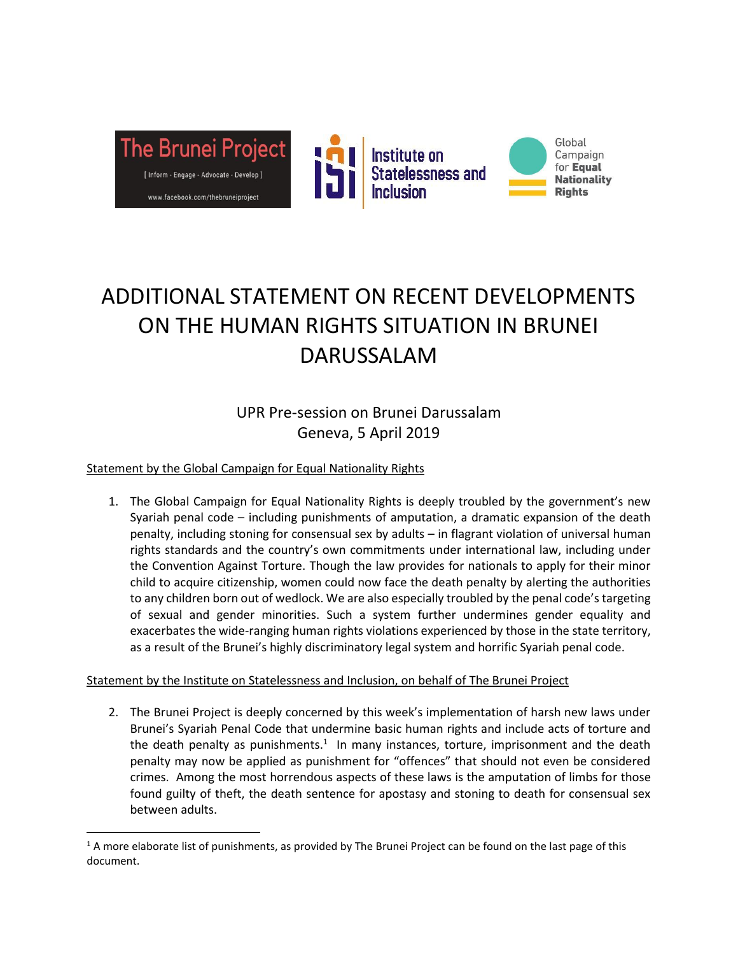

# ADDITIONAL STATEMENT ON RECENT DEVELOPMENTS ON THE HUMAN RIGHTS SITUATION IN BRUNEI DARUSSALAM

UPR Pre-session on Brunei Darussalam Geneva, 5 April 2019

### Statement by the Global Campaign for Equal Nationality Rights

 $\overline{\phantom{a}}$ 

1. The Global Campaign for Equal Nationality Rights is deeply troubled by the government's new Syariah penal code – including punishments of amputation, a dramatic expansion of the death penalty, including stoning for consensual sex by adults – in flagrant violation of universal human rights standards and the country's own commitments under international law, including under the Convention Against Torture. Though the law provides for nationals to apply for their minor child to acquire citizenship, women could now face the death penalty by alerting the authorities to any children born out of wedlock. We are also especially troubled by the penal code's targeting of sexual and gender minorities. Such a system further undermines gender equality and exacerbates the wide-ranging human rights violations experienced by those in the state territory, as a result of the Brunei's highly discriminatory legal system and horrific Syariah penal code.

#### Statement by the Institute on Statelessness and Inclusion, on behalf of The Brunei Project

2. The Brunei Project is deeply concerned by this week's implementation of harsh new laws under Brunei's Syariah Penal Code that undermine basic human rights and include acts of torture and the death penalty as punishments.<sup>1</sup> In many instances, torture, imprisonment and the death penalty may now be applied as punishment for "offences" that should not even be considered crimes. Among the most horrendous aspects of these laws is the amputation of limbs for those found guilty of theft, the death sentence for apostasy and stoning to death for consensual sex between adults.

 $1$  A more elaborate list of punishments, as provided by The Brunei Project can be found on the last page of this document.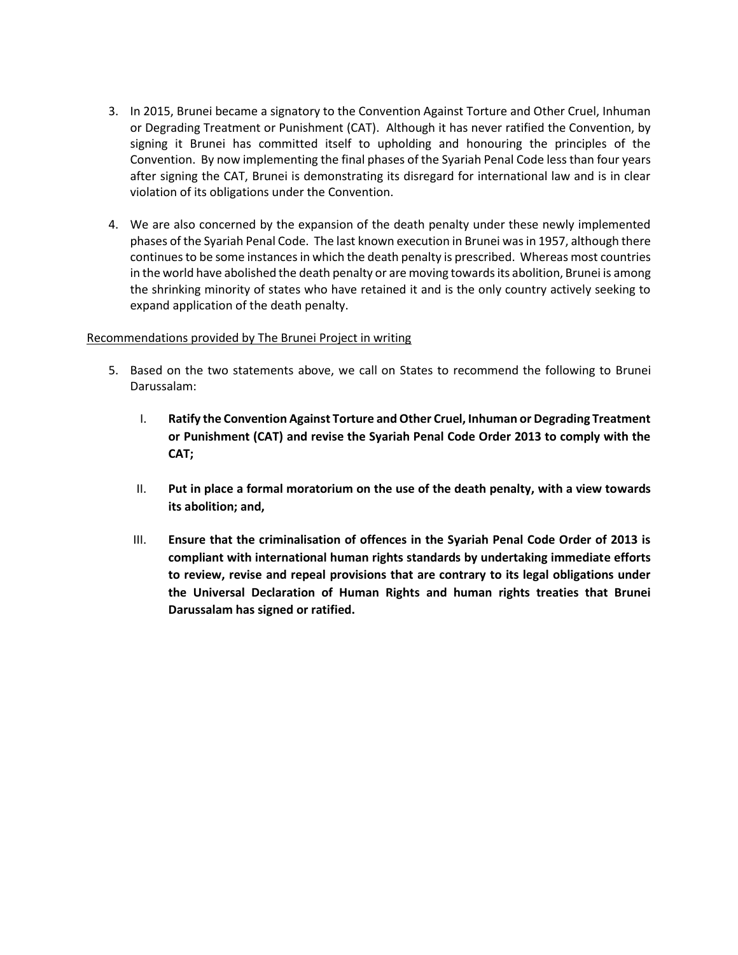- 3. In 2015, Brunei became a signatory to the Convention Against Torture and Other Cruel, Inhuman or Degrading Treatment or Punishment (CAT). Although it has never ratified the Convention, by signing it Brunei has committed itself to upholding and honouring the principles of the Convention. By now implementing the final phases of the Syariah Penal Code less than four years after signing the CAT, Brunei is demonstrating its disregard for international law and is in clear violation of its obligations under the Convention.
- 4. We are also concerned by the expansion of the death penalty under these newly implemented phases of the Syariah Penal Code. The last known execution in Brunei was in 1957, although there continues to be some instances in which the death penalty is prescribed. Whereas most countries in the world have abolished the death penalty or are moving towards its abolition, Brunei is among the shrinking minority of states who have retained it and is the only country actively seeking to expand application of the death penalty.

#### Recommendations provided by The Brunei Project in writing

- 5. Based on the two statements above, we call on States to recommend the following to Brunei Darussalam:
	- I. **Ratify the Convention Against Torture and Other Cruel, Inhuman or Degrading Treatment or Punishment (CAT) and revise the Syariah Penal Code Order 2013 to comply with the CAT;**
	- II. **Put in place a formal moratorium on the use of the death penalty, with a view towards its abolition; and,**
	- III. **Ensure that the criminalisation of offences in the Syariah Penal Code Order of 2013 is compliant with international human rights standards by undertaking immediate efforts to review, revise and repeal provisions that are contrary to its legal obligations under the Universal Declaration of Human Rights and human rights treaties that Brunei Darussalam has signed or ratified.**